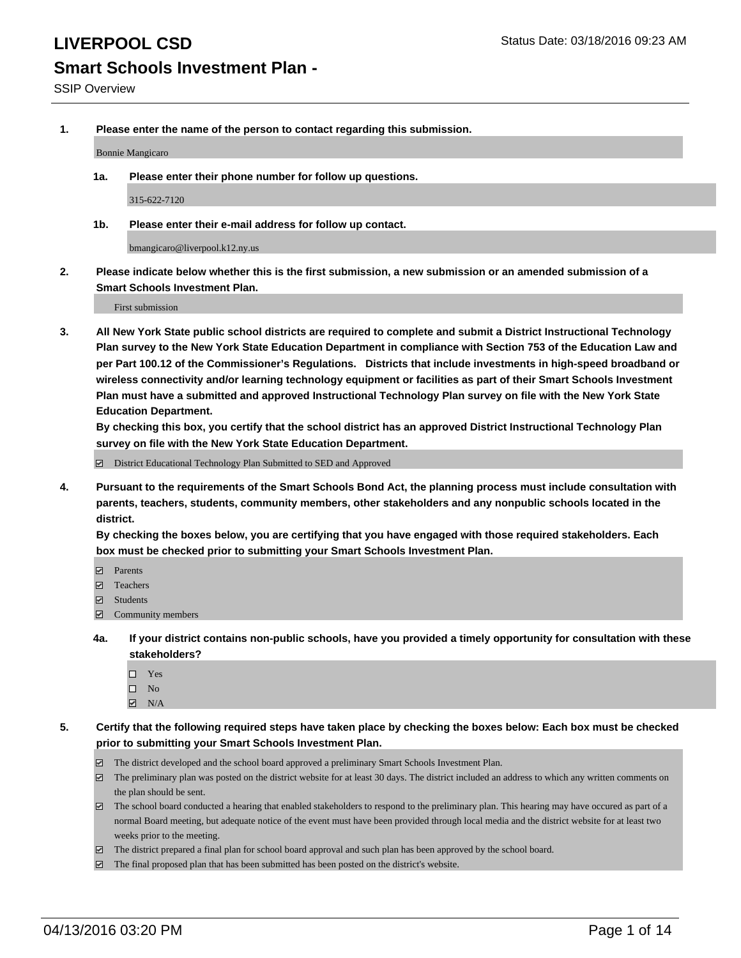**1. Please enter the name of the person to contact regarding this submission.**

Bonnie Mangicaro

**1a. Please enter their phone number for follow up questions.**

315-622-7120

**1b. Please enter their e-mail address for follow up contact.**

bmangicaro@liverpool.k12.ny.us

**2. Please indicate below whether this is the first submission, a new submission or an amended submission of a Smart Schools Investment Plan.**

First submission

**3. All New York State public school districts are required to complete and submit a District Instructional Technology Plan survey to the New York State Education Department in compliance with Section 753 of the Education Law and per Part 100.12 of the Commissioner's Regulations. Districts that include investments in high-speed broadband or wireless connectivity and/or learning technology equipment or facilities as part of their Smart Schools Investment Plan must have a submitted and approved Instructional Technology Plan survey on file with the New York State Education Department.** 

**By checking this box, you certify that the school district has an approved District Instructional Technology Plan survey on file with the New York State Education Department.**

■ District Educational Technology Plan Submitted to SED and Approved

**4. Pursuant to the requirements of the Smart Schools Bond Act, the planning process must include consultation with parents, teachers, students, community members, other stakeholders and any nonpublic schools located in the district.** 

**By checking the boxes below, you are certifying that you have engaged with those required stakeholders. Each box must be checked prior to submitting your Smart Schools Investment Plan.**

- **Parents**
- □ Teachers
- Students
- $\boxdot$  Community members
- **4a. If your district contains non-public schools, have you provided a timely opportunity for consultation with these stakeholders?**
	- □ Yes
	- $\square$  No
	- $\boxtimes$  N/A
- **5. Certify that the following required steps have taken place by checking the boxes below: Each box must be checked prior to submitting your Smart Schools Investment Plan.**
	- The district developed and the school board approved a preliminary Smart Schools Investment Plan.
	- The preliminary plan was posted on the district website for at least 30 days. The district included an address to which any written comments on the plan should be sent.
	- $\Box$  The school board conducted a hearing that enabled stakeholders to respond to the preliminary plan. This hearing may have occured as part of a normal Board meeting, but adequate notice of the event must have been provided through local media and the district website for at least two weeks prior to the meeting.
	- The district prepared a final plan for school board approval and such plan has been approved by the school board.
	- The final proposed plan that has been submitted has been posted on the district's website.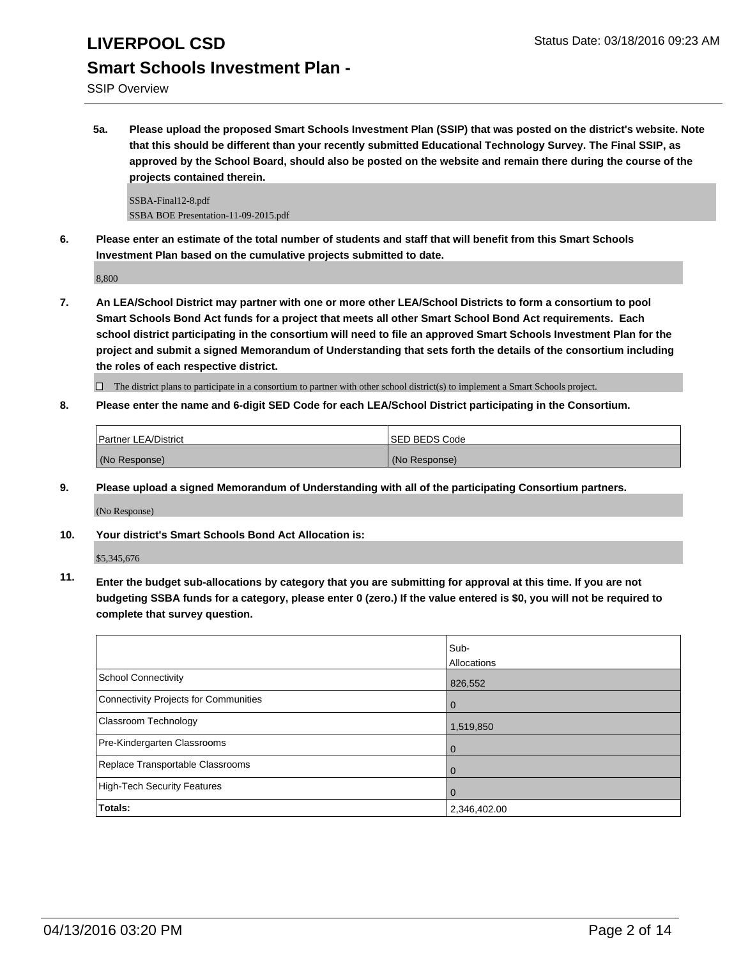SSIP Overview

**5a. Please upload the proposed Smart Schools Investment Plan (SSIP) that was posted on the district's website. Note that this should be different than your recently submitted Educational Technology Survey. The Final SSIP, as approved by the School Board, should also be posted on the website and remain there during the course of the projects contained therein.**

SSBA-Final12-8.pdf SSBA BOE Presentation-11-09-2015.pdf

**6. Please enter an estimate of the total number of students and staff that will benefit from this Smart Schools Investment Plan based on the cumulative projects submitted to date.**

8,800

**7. An LEA/School District may partner with one or more other LEA/School Districts to form a consortium to pool Smart Schools Bond Act funds for a project that meets all other Smart School Bond Act requirements. Each school district participating in the consortium will need to file an approved Smart Schools Investment Plan for the project and submit a signed Memorandum of Understanding that sets forth the details of the consortium including the roles of each respective district.**

 $\Box$  The district plans to participate in a consortium to partner with other school district(s) to implement a Smart Schools project.

**8. Please enter the name and 6-digit SED Code for each LEA/School District participating in the Consortium.**

| <b>Partner LEA/District</b> | <b>ISED BEDS Code</b> |
|-----------------------------|-----------------------|
| (No Response)               | (No Response)         |

**9. Please upload a signed Memorandum of Understanding with all of the participating Consortium partners.**

(No Response)

**10. Your district's Smart Schools Bond Act Allocation is:**

\$5,345,676

**11. Enter the budget sub-allocations by category that you are submitting for approval at this time. If you are not budgeting SSBA funds for a category, please enter 0 (zero.) If the value entered is \$0, you will not be required to complete that survey question.**

|                                       | Sub-<br>Allocations |
|---------------------------------------|---------------------|
| School Connectivity                   | 826,552             |
| Connectivity Projects for Communities | 0                   |
| <b>Classroom Technology</b>           | 1,519,850           |
| Pre-Kindergarten Classrooms           | $\Omega$            |
| Replace Transportable Classrooms      | $\Omega$            |
| High-Tech Security Features           | 0                   |
| Totals:                               | 2,346,402.00        |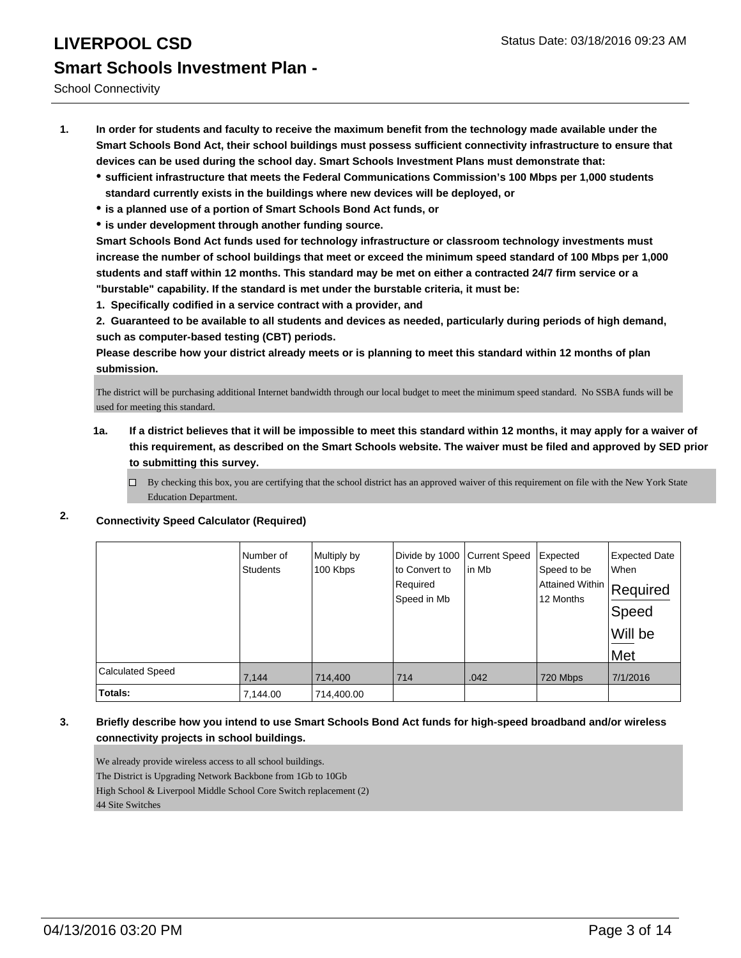School Connectivity

- **1. In order for students and faculty to receive the maximum benefit from the technology made available under the Smart Schools Bond Act, their school buildings must possess sufficient connectivity infrastructure to ensure that devices can be used during the school day. Smart Schools Investment Plans must demonstrate that:**
	- **sufficient infrastructure that meets the Federal Communications Commission's 100 Mbps per 1,000 students standard currently exists in the buildings where new devices will be deployed, or**
	- **is a planned use of a portion of Smart Schools Bond Act funds, or**
	- **is under development through another funding source.**

**Smart Schools Bond Act funds used for technology infrastructure or classroom technology investments must increase the number of school buildings that meet or exceed the minimum speed standard of 100 Mbps per 1,000 students and staff within 12 months. This standard may be met on either a contracted 24/7 firm service or a "burstable" capability. If the standard is met under the burstable criteria, it must be:**

**1. Specifically codified in a service contract with a provider, and**

**2. Guaranteed to be available to all students and devices as needed, particularly during periods of high demand, such as computer-based testing (CBT) periods.**

**Please describe how your district already meets or is planning to meet this standard within 12 months of plan submission.**

The district will be purchasing additional Internet bandwidth through our local budget to meet the minimum speed standard. No SSBA funds will be used for meeting this standard.

- **1a. If a district believes that it will be impossible to meet this standard within 12 months, it may apply for a waiver of this requirement, as described on the Smart Schools website. The waiver must be filed and approved by SED prior to submitting this survey.**
	- By checking this box, you are certifying that the school district has an approved waiver of this requirement on file with the New York State Education Department.
- **2. Connectivity Speed Calculator (Required)**

|                         | Number of<br><b>Students</b> | Multiply by<br>100 Kbps | Divide by 1000<br>to Convert to<br>Required<br>Speed in Mb | <b>Current Speed</b><br>in Mb | Expected<br>Speed to be<br> Attained Within   Required<br>12 Months | <b>Expected Date</b><br>When<br>Speed<br>Will be<br>Met |
|-------------------------|------------------------------|-------------------------|------------------------------------------------------------|-------------------------------|---------------------------------------------------------------------|---------------------------------------------------------|
| <b>Calculated Speed</b> | 7,144                        | 714,400                 | 714                                                        | .042                          | 720 Mbps                                                            | 7/1/2016                                                |
| Totals:                 | 7,144.00                     | 714,400.00              |                                                            |                               |                                                                     |                                                         |

### **3. Briefly describe how you intend to use Smart Schools Bond Act funds for high-speed broadband and/or wireless connectivity projects in school buildings.**

We already provide wireless access to all school buildings. The District is Upgrading Network Backbone from 1Gb to 10Gb High School & Liverpool Middle School Core Switch replacement (2) 44 Site Switches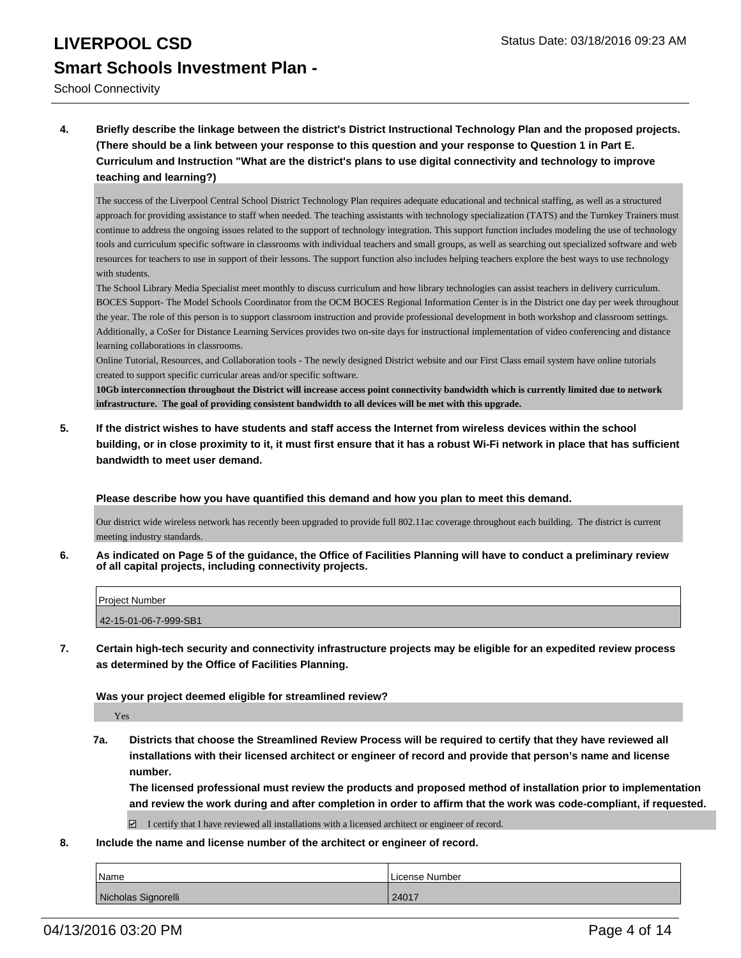School Connectivity

**4. Briefly describe the linkage between the district's District Instructional Technology Plan and the proposed projects. (There should be a link between your response to this question and your response to Question 1 in Part E. Curriculum and Instruction "What are the district's plans to use digital connectivity and technology to improve teaching and learning?)**

The success of the Liverpool Central School District Technology Plan requires adequate educational and technical staffing, as well as a structured approach for providing assistance to staff when needed. The teaching assistants with technology specialization (TATS) and the Turnkey Trainers must continue to address the ongoing issues related to the support of technology integration. This support function includes modeling the use of technology tools and curriculum specific software in classrooms with individual teachers and small groups, as well as searching out specialized software and web resources for teachers to use in support of their lessons. The support function also includes helping teachers explore the best ways to use technology with students

The School Library Media Specialist meet monthly to discuss curriculum and how library technologies can assist teachers in delivery curriculum. BOCES Support- The Model Schools Coordinator from the OCM BOCES Regional Information Center is in the District one day per week throughout the year. The role of this person is to support classroom instruction and provide professional development in both workshop and classroom settings. Additionally, a CoSer for Distance Learning Services provides two on-site days for instructional implementation of video conferencing and distance learning collaborations in classrooms.

Online Tutorial, Resources, and Collaboration tools - The newly designed District website and our First Class email system have online tutorials created to support specific curricular areas and/or specific software.

**10Gb interconnection throughout the District will increase access point connectivity bandwidth which is currently limited due to network infrastructure. The goal of providing consistent bandwidth to all devices will be met with this upgrade.**

**5. If the district wishes to have students and staff access the Internet from wireless devices within the school building, or in close proximity to it, it must first ensure that it has a robust Wi-Fi network in place that has sufficient bandwidth to meet user demand.**

**Please describe how you have quantified this demand and how you plan to meet this demand.**

Our district wide wireless network has recently been upgraded to provide full 802.11ac coverage throughout each building. The district is current meeting industry standards.

**6. As indicated on Page 5 of the guidance, the Office of Facilities Planning will have to conduct a preliminary review of all capital projects, including connectivity projects.**

| Project Number        |  |
|-----------------------|--|
| 42-15-01-06-7-999-SB1 |  |

**7. Certain high-tech security and connectivity infrastructure projects may be eligible for an expedited review process as determined by the Office of Facilities Planning.**

**Was your project deemed eligible for streamlined review?**

Yes

**7a. Districts that choose the Streamlined Review Process will be required to certify that they have reviewed all installations with their licensed architect or engineer of record and provide that person's name and license number.**

**The licensed professional must review the products and proposed method of installation prior to implementation and review the work during and after completion in order to affirm that the work was code-compliant, if requested.**

□ I certify that I have reviewed all installations with a licensed architect or engineer of record.

**8. Include the name and license number of the architect or engineer of record.**

| <sup>I</sup> Name   | License Number |
|---------------------|----------------|
| Nicholas Signorelli | 24017          |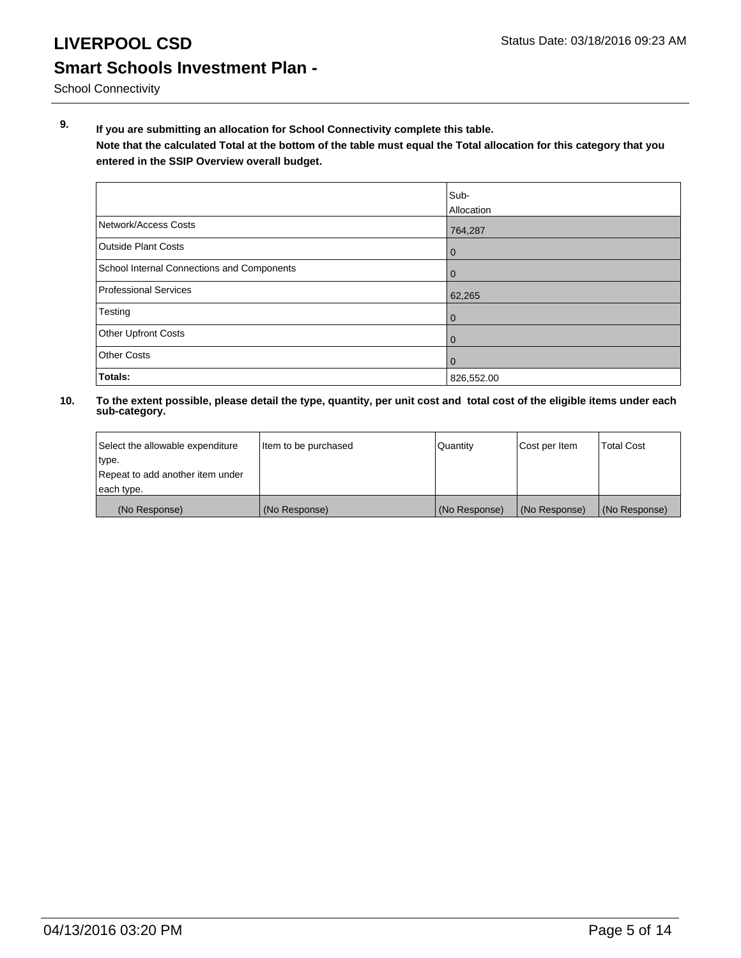School Connectivity

**9. If you are submitting an allocation for School Connectivity complete this table.**

**Note that the calculated Total at the bottom of the table must equal the Total allocation for this category that you entered in the SSIP Overview overall budget.** 

|                                            | Sub-<br><b>Allocation</b> |
|--------------------------------------------|---------------------------|
| Network/Access Costs                       | 764,287                   |
| <b>Outside Plant Costs</b>                 | 0                         |
| School Internal Connections and Components | 0                         |
| Professional Services                      | 62,265                    |
| Testing                                    | 0                         |
| <b>Other Upfront Costs</b>                 | 0                         |
| <b>Other Costs</b>                         | $\mathbf 0$               |
| Totals:                                    | 826,552.00                |

| Select the allowable expenditure | Item to be purchased | Quantity      | Cost per Item | <b>Total Cost</b> |
|----------------------------------|----------------------|---------------|---------------|-------------------|
| type.                            |                      |               |               |                   |
| Repeat to add another item under |                      |               |               |                   |
| each type.                       |                      |               |               |                   |
| (No Response)                    | (No Response)        | (No Response) | (No Response) | (No Response)     |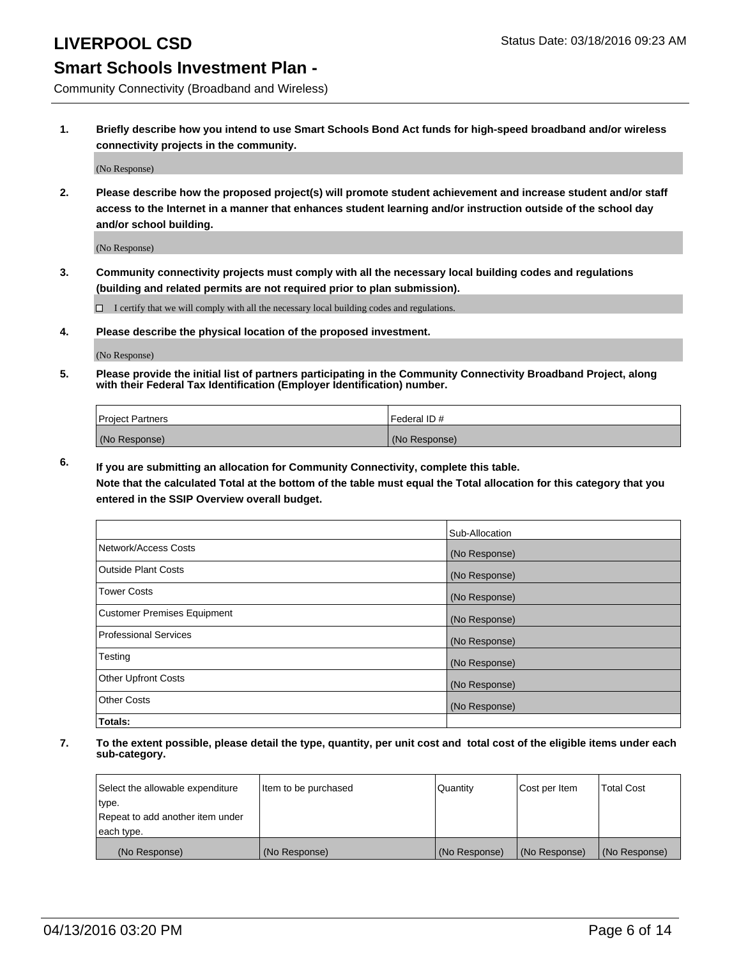Community Connectivity (Broadband and Wireless)

**1. Briefly describe how you intend to use Smart Schools Bond Act funds for high-speed broadband and/or wireless connectivity projects in the community.**

(No Response)

**2. Please describe how the proposed project(s) will promote student achievement and increase student and/or staff access to the Internet in a manner that enhances student learning and/or instruction outside of the school day and/or school building.**

(No Response)

**3. Community connectivity projects must comply with all the necessary local building codes and regulations (building and related permits are not required prior to plan submission).**

 $\Box$  I certify that we will comply with all the necessary local building codes and regulations.

**4. Please describe the physical location of the proposed investment.**

(No Response)

**5. Please provide the initial list of partners participating in the Community Connectivity Broadband Project, along with their Federal Tax Identification (Employer Identification) number.**

| <b>Project Partners</b> | I Federal ID # |
|-------------------------|----------------|
| (No Response)           | (No Response)  |

**6. If you are submitting an allocation for Community Connectivity, complete this table.**

**Note that the calculated Total at the bottom of the table must equal the Total allocation for this category that you entered in the SSIP Overview overall budget.**

|                                    | Sub-Allocation |
|------------------------------------|----------------|
| Network/Access Costs               | (No Response)  |
| Outside Plant Costs                | (No Response)  |
| <b>Tower Costs</b>                 | (No Response)  |
| <b>Customer Premises Equipment</b> | (No Response)  |
| Professional Services              | (No Response)  |
| Testing                            | (No Response)  |
| <b>Other Upfront Costs</b>         | (No Response)  |
| Other Costs                        | (No Response)  |
| Totals:                            |                |

| Select the allowable expenditure | Item to be purchased | l Quantitv    | Cost per Item | <b>Total Cost</b> |
|----------------------------------|----------------------|---------------|---------------|-------------------|
| type.                            |                      |               |               |                   |
| Repeat to add another item under |                      |               |               |                   |
| each type.                       |                      |               |               |                   |
| (No Response)                    | (No Response)        | (No Response) | (No Response) | (No Response)     |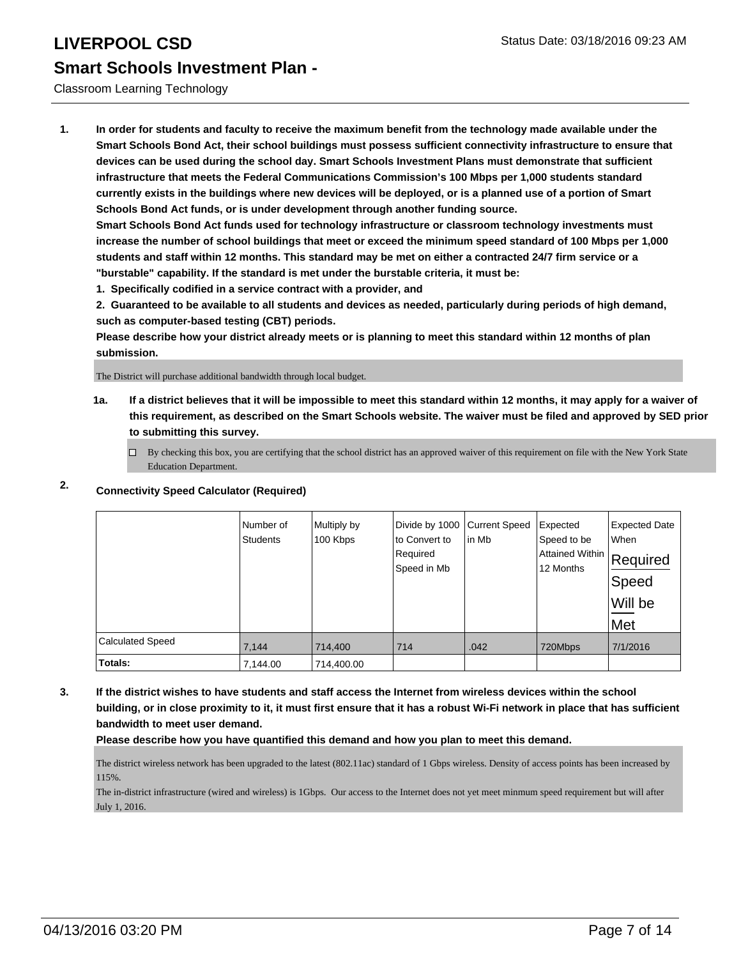Classroom Learning Technology

**1. In order for students and faculty to receive the maximum benefit from the technology made available under the Smart Schools Bond Act, their school buildings must possess sufficient connectivity infrastructure to ensure that devices can be used during the school day. Smart Schools Investment Plans must demonstrate that sufficient infrastructure that meets the Federal Communications Commission's 100 Mbps per 1,000 students standard currently exists in the buildings where new devices will be deployed, or is a planned use of a portion of Smart Schools Bond Act funds, or is under development through another funding source.**

**Smart Schools Bond Act funds used for technology infrastructure or classroom technology investments must increase the number of school buildings that meet or exceed the minimum speed standard of 100 Mbps per 1,000 students and staff within 12 months. This standard may be met on either a contracted 24/7 firm service or a "burstable" capability. If the standard is met under the burstable criteria, it must be:**

**1. Specifically codified in a service contract with a provider, and**

**2. Guaranteed to be available to all students and devices as needed, particularly during periods of high demand, such as computer-based testing (CBT) periods.**

**Please describe how your district already meets or is planning to meet this standard within 12 months of plan submission.**

The District will purchase additional bandwidth through local budget.

**1a. If a district believes that it will be impossible to meet this standard within 12 months, it may apply for a waiver of this requirement, as described on the Smart Schools website. The waiver must be filed and approved by SED prior to submitting this survey.**

 $\Box$  By checking this box, you are certifying that the school district has an approved waiver of this requirement on file with the New York State Education Department.

### **2. Connectivity Speed Calculator (Required)**

|                         | Number of<br><b>Students</b> | Multiply by<br>100 Kbps | Divide by 1000<br>to Convert to<br>Required<br>Speed in Mb | <b>Current Speed</b><br>lin Mb | Expected<br>Speed to be<br>Attained Within Required<br>12 Months | <b>Expected Date</b><br><b>When</b><br>∣Speed<br>Will be<br>Met |
|-------------------------|------------------------------|-------------------------|------------------------------------------------------------|--------------------------------|------------------------------------------------------------------|-----------------------------------------------------------------|
| <b>Calculated Speed</b> | 7,144                        | 714,400                 | 714                                                        | .042                           | 720Mbps                                                          | 7/1/2016                                                        |
| Totals:                 | 7,144.00                     | 714,400.00              |                                                            |                                |                                                                  |                                                                 |

**3. If the district wishes to have students and staff access the Internet from wireless devices within the school building, or in close proximity to it, it must first ensure that it has a robust Wi-Fi network in place that has sufficient bandwidth to meet user demand.**

**Please describe how you have quantified this demand and how you plan to meet this demand.**

The district wireless network has been upgraded to the latest (802.11ac) standard of 1 Gbps wireless. Density of access points has been increased by 115%.

The in-district infrastructure (wired and wireless) is 1Gbps. Our access to the Internet does not yet meet minmum speed requirement but will after July 1, 2016.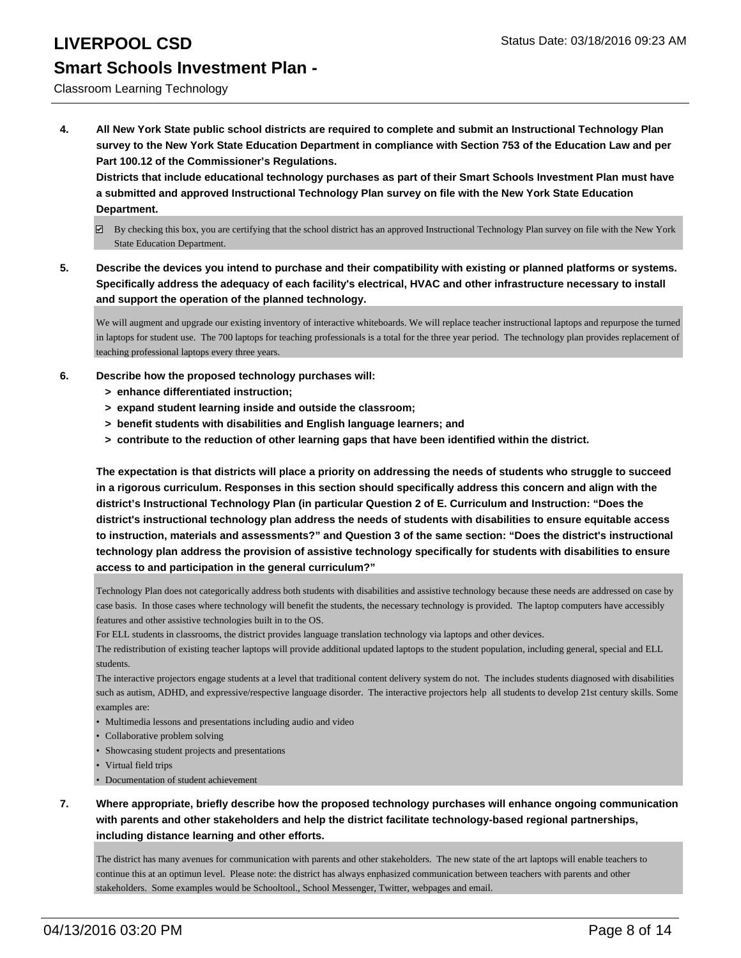Classroom Learning Technology

**4. All New York State public school districts are required to complete and submit an Instructional Technology Plan survey to the New York State Education Department in compliance with Section 753 of the Education Law and per Part 100.12 of the Commissioner's Regulations.**

**Districts that include educational technology purchases as part of their Smart Schools Investment Plan must have a submitted and approved Instructional Technology Plan survey on file with the New York State Education Department.**

- $\boxtimes$  By checking this box, you are certifying that the school district has an approved Instructional Technology Plan survey on file with the New York State Education Department.
- **5. Describe the devices you intend to purchase and their compatibility with existing or planned platforms or systems. Specifically address the adequacy of each facility's electrical, HVAC and other infrastructure necessary to install and support the operation of the planned technology.**

We will augment and upgrade our existing inventory of interactive whiteboards. We will replace teacher instructional laptops and repurpose the turned in laptops for student use. The 700 laptops for teaching professionals is a total for the three year period. The technology plan provides replacement of teaching professional laptops every three years.

- **6. Describe how the proposed technology purchases will:**
	- **> enhance differentiated instruction;**
	- **> expand student learning inside and outside the classroom;**
	- **> benefit students with disabilities and English language learners; and**
	- **> contribute to the reduction of other learning gaps that have been identified within the district.**

**The expectation is that districts will place a priority on addressing the needs of students who struggle to succeed in a rigorous curriculum. Responses in this section should specifically address this concern and align with the district's Instructional Technology Plan (in particular Question 2 of E. Curriculum and Instruction: "Does the district's instructional technology plan address the needs of students with disabilities to ensure equitable access to instruction, materials and assessments?" and Question 3 of the same section: "Does the district's instructional technology plan address the provision of assistive technology specifically for students with disabilities to ensure access to and participation in the general curriculum?"**

Technology Plan does not categorically address both students with disabilities and assistive technology because these needs are addressed on case by case basis. In those cases where technology will benefit the students, the necessary technology is provided. The laptop computers have accessibly features and other assistive technologies built in to the OS.

For ELL students in classrooms, the district provides language translation technology via laptops and other devices.

The redistribution of existing teacher laptops will provide additional updated laptops to the student population, including general, special and ELL students.

The interactive projectors engage students at a level that traditional content delivery system do not. The includes students diagnosed with disabilities such as autism, ADHD, and expressive/respective language disorder. The interactive projectors help all students to develop 21st century skills. Some examples are:

- Multimedia lessons and presentations including audio and video
- Collaborative problem solving
- Showcasing student projects and presentations
- Virtual field trips
- Documentation of student achievement
- **7. Where appropriate, briefly describe how the proposed technology purchases will enhance ongoing communication with parents and other stakeholders and help the district facilitate technology-based regional partnerships, including distance learning and other efforts.**

The district has many avenues for communication with parents and other stakeholders. The new state of the art laptops will enable teachers to continue this at an optimun level. Please note: the district has always enphasized communication between teachers with parents and other stakeholders. Some examples would be Schooltool., School Messenger, Twitter, webpages and email.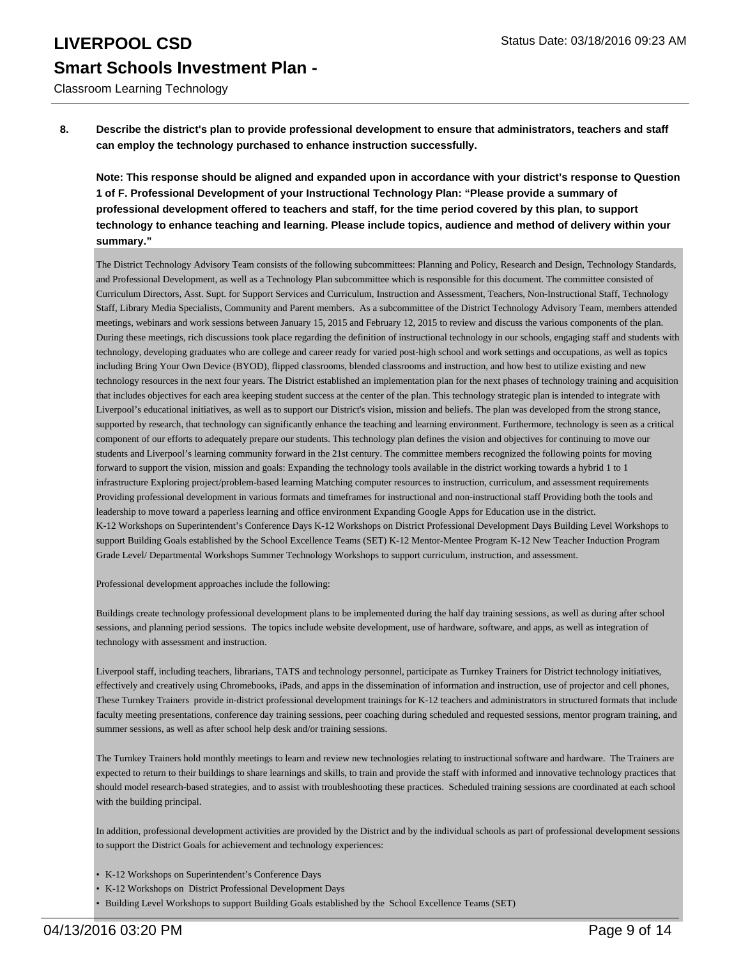Classroom Learning Technology

**8. Describe the district's plan to provide professional development to ensure that administrators, teachers and staff can employ the technology purchased to enhance instruction successfully.**

**Note: This response should be aligned and expanded upon in accordance with your district's response to Question 1 of F. Professional Development of your Instructional Technology Plan: "Please provide a summary of professional development offered to teachers and staff, for the time period covered by this plan, to support technology to enhance teaching and learning. Please include topics, audience and method of delivery within your summary."**

The District Technology Advisory Team consists of the following subcommittees: Planning and Policy, Research and Design, Technology Standards, and Professional Development, as well as a Technology Plan subcommittee which is responsible for this document. The committee consisted of Curriculum Directors, Asst. Supt. for Support Services and Curriculum, Instruction and Assessment, Teachers, Non-Instructional Staff, Technology Staff, Library Media Specialists, Community and Parent members. As a subcommittee of the District Technology Advisory Team, members attended meetings, webinars and work sessions between January 15, 2015 and February 12, 2015 to review and discuss the various components of the plan. During these meetings, rich discussions took place regarding the definition of instructional technology in our schools, engaging staff and students with technology, developing graduates who are college and career ready for varied post-high school and work settings and occupations, as well as topics including Bring Your Own Device (BYOD), flipped classrooms, blended classrooms and instruction, and how best to utilize existing and new technology resources in the next four years. The District established an implementation plan for the next phases of technology training and acquisition that includes objectives for each area keeping student success at the center of the plan. This technology strategic plan is intended to integrate with Liverpool's educational initiatives, as well as to support our District's vision, mission and beliefs. The plan was developed from the strong stance, supported by research, that technology can significantly enhance the teaching and learning environment. Furthermore, technology is seen as a critical component of our efforts to adequately prepare our students. This technology plan defines the vision and objectives for continuing to move our students and Liverpool's learning community forward in the 21st century. The committee members recognized the following points for moving forward to support the vision, mission and goals: Expanding the technology tools available in the district working towards a hybrid 1 to 1 infrastructure Exploring project/problem-based learning Matching computer resources to instruction, curriculum, and assessment requirements Providing professional development in various formats and timeframes for instructional and non-instructional staff Providing both the tools and leadership to move toward a paperless learning and office environment Expanding Google Apps for Education use in the district. K-12 Workshops on Superintendent's Conference Days K-12 Workshops on District Professional Development Days Building Level Workshops to support Building Goals established by the School Excellence Teams (SET) K-12 Mentor-Mentee Program K-12 New Teacher Induction Program Grade Level/ Departmental Workshops Summer Technology Workshops to support curriculum, instruction, and assessment.

Professional development approaches include the following:

Buildings create technology professional development plans to be implemented during the half day training sessions, as well as during after school sessions, and planning period sessions. The topics include website development, use of hardware, software, and apps, as well as integration of technology with assessment and instruction.

Liverpool staff, including teachers, librarians, TATS and technology personnel, participate as Turnkey Trainers for District technology initiatives, effectively and creatively using Chromebooks, iPads, and apps in the dissemination of information and instruction, use of projector and cell phones, These Turnkey Trainers provide in-district professional development trainings for K-12 teachers and administrators in structured formats that include faculty meeting presentations, conference day training sessions, peer coaching during scheduled and requested sessions, mentor program training, and summer sessions, as well as after school help desk and/or training sessions.

The Turnkey Trainers hold monthly meetings to learn and review new technologies relating to instructional software and hardware. The Trainers are expected to return to their buildings to share learnings and skills, to train and provide the staff with informed and innovative technology practices that should model research-based strategies, and to assist with troubleshooting these practices. Scheduled training sessions are coordinated at each school with the building principal.

In addition, professional development activities are provided by the District and by the individual schools as part of professional development sessions to support the District Goals for achievement and technology experiences:

- K-12 Workshops on Superintendent's Conference Days
- K-12 Workshops on District Professional Development Days
- Building Level Workshops to support Building Goals established by the School Excellence Teams (SET)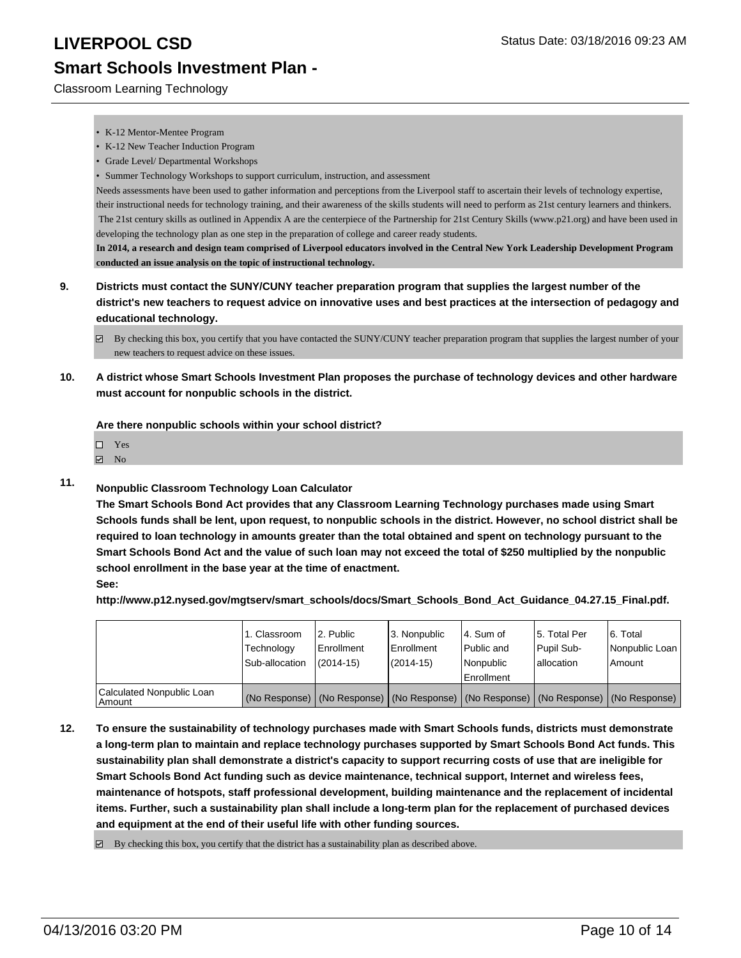Classroom Learning Technology

- K-12 Mentor-Mentee Program
- K-12 New Teacher Induction Program
- Grade Level/ Departmental Workshops
- Summer Technology Workshops to support curriculum, instruction, and assessment

Needs assessments have been used to gather information and perceptions from the Liverpool staff to ascertain their levels of technology expertise, their instructional needs for technology training, and their awareness of the skills students will need to perform as 21st century learners and thinkers. The 21st century skills as outlined in Appendix A are the centerpiece of the Partnership for 21st Century Skills (www.p21.org) and have been used in developing the technology plan as one step in the preparation of college and career ready students.

**In 2014, a research and design team comprised of Liverpool educators involved in the Central New York Leadership Development Program conducted an issue analysis on the topic of instructional technology.**

- **9. Districts must contact the SUNY/CUNY teacher preparation program that supplies the largest number of the district's new teachers to request advice on innovative uses and best practices at the intersection of pedagogy and educational technology.**
	- $\boxtimes$  By checking this box, you certify that you have contacted the SUNY/CUNY teacher preparation program that supplies the largest number of your new teachers to request advice on these issues.
- **10. A district whose Smart Schools Investment Plan proposes the purchase of technology devices and other hardware must account for nonpublic schools in the district.**

**Are there nonpublic schools within your school district?**

- Yes
- **Z** No
- **11. Nonpublic Classroom Technology Loan Calculator**

**The Smart Schools Bond Act provides that any Classroom Learning Technology purchases made using Smart Schools funds shall be lent, upon request, to nonpublic schools in the district. However, no school district shall be required to loan technology in amounts greater than the total obtained and spent on technology pursuant to the Smart Schools Bond Act and the value of such loan may not exceed the total of \$250 multiplied by the nonpublic school enrollment in the base year at the time of enactment.**

**See:**

**http://www.p12.nysed.gov/mgtserv/smart\_schools/docs/Smart\_Schools\_Bond\_Act\_Guidance\_04.27.15\_Final.pdf.**

|                                     | 1. Classroom<br>Technology<br>Sub-allocation | 2. Public<br>Enrollment<br>$(2014 - 15)$ | 3. Nonpublic<br><b>Enrollment</b><br>(2014-15)                                                | l 4. Sum of<br>Public and<br>Nonpublic<br>Enrollment | 15. Total Per<br>Pupil Sub-<br>lallocation | 6. Total<br>Nonpublic Loan<br>Amount |
|-------------------------------------|----------------------------------------------|------------------------------------------|-----------------------------------------------------------------------------------------------|------------------------------------------------------|--------------------------------------------|--------------------------------------|
| Calculated Nonpublic Loan<br>Amount |                                              |                                          | (No Response)   (No Response)   (No Response)   (No Response)   (No Response)   (No Response) |                                                      |                                            |                                      |

- **12. To ensure the sustainability of technology purchases made with Smart Schools funds, districts must demonstrate a long-term plan to maintain and replace technology purchases supported by Smart Schools Bond Act funds. This sustainability plan shall demonstrate a district's capacity to support recurring costs of use that are ineligible for Smart Schools Bond Act funding such as device maintenance, technical support, Internet and wireless fees, maintenance of hotspots, staff professional development, building maintenance and the replacement of incidental items. Further, such a sustainability plan shall include a long-term plan for the replacement of purchased devices and equipment at the end of their useful life with other funding sources.**
	- $\boxdot$  By checking this box, you certify that the district has a sustainability plan as described above.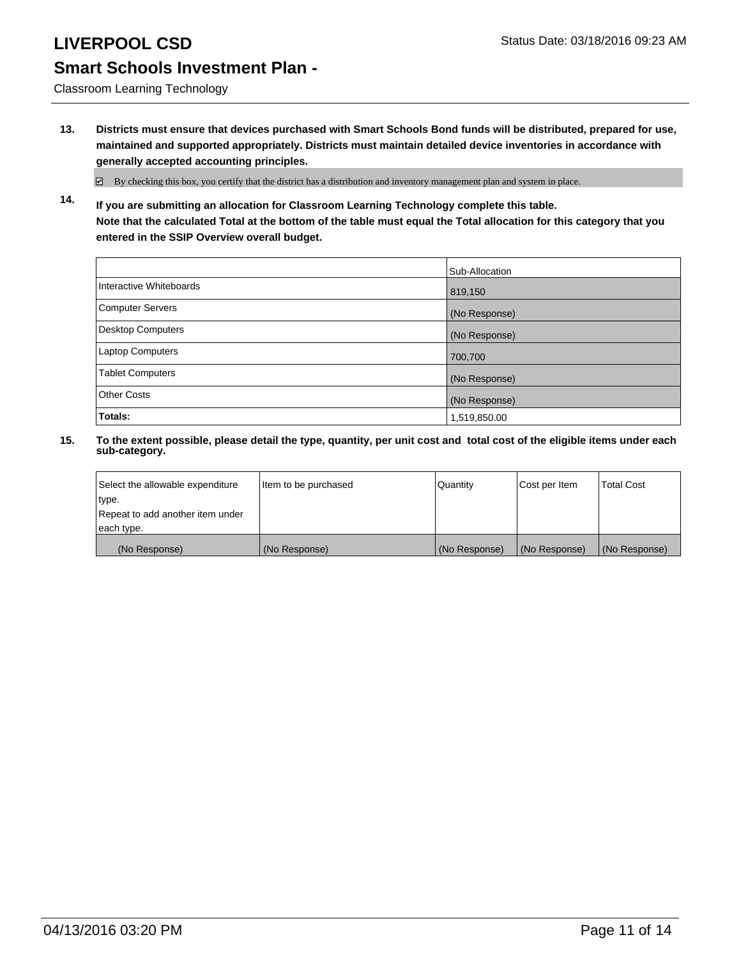Classroom Learning Technology

**13. Districts must ensure that devices purchased with Smart Schools Bond funds will be distributed, prepared for use, maintained and supported appropriately. Districts must maintain detailed device inventories in accordance with generally accepted accounting principles.**

 $\boxtimes$  By checking this box, you certify that the district has a distribution and inventory management plan and system in place.

**14. If you are submitting an allocation for Classroom Learning Technology complete this table. Note that the calculated Total at the bottom of the table must equal the Total allocation for this category that you entered in the SSIP Overview overall budget.**

|                         | Sub-Allocation |
|-------------------------|----------------|
| Interactive Whiteboards | 819,150        |
| Computer Servers        | (No Response)  |
| Desktop Computers       | (No Response)  |
| Laptop Computers        | 700,700        |
| <b>Tablet Computers</b> | (No Response)  |
| Other Costs             | (No Response)  |
| Totals:                 | 1,519,850.00   |

| Select the allowable expenditure | Item to be purchased | Quantity      | Cost per Item | <b>Total Cost</b> |
|----------------------------------|----------------------|---------------|---------------|-------------------|
| type.                            |                      |               |               |                   |
| Repeat to add another item under |                      |               |               |                   |
| each type.                       |                      |               |               |                   |
| (No Response)                    | (No Response)        | (No Response) | (No Response) | (No Response)     |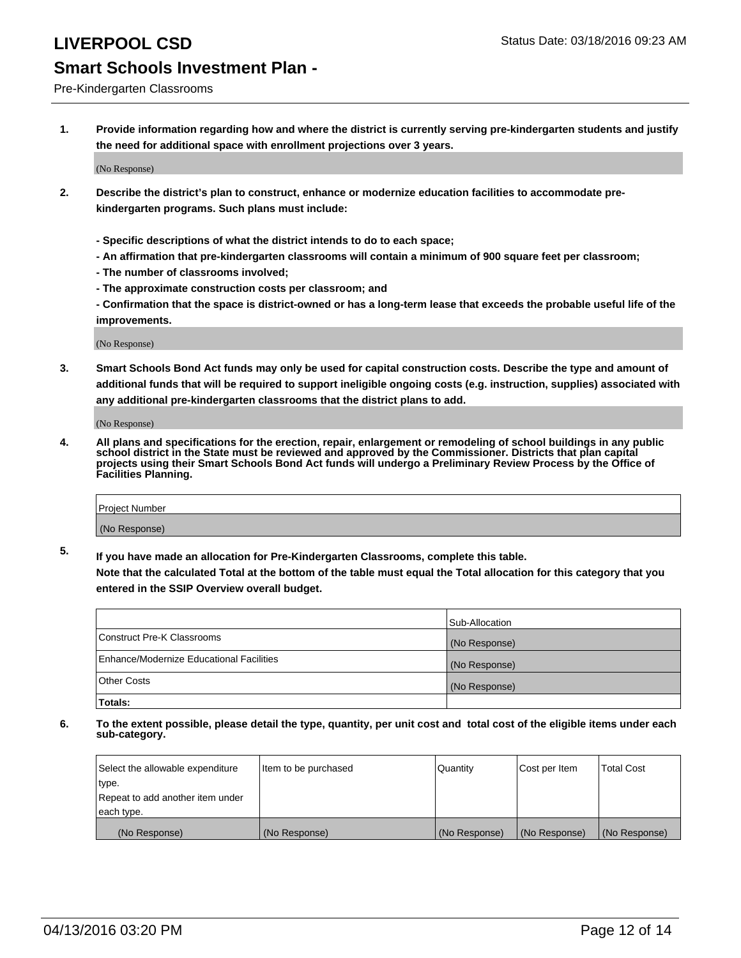### Pre-Kindergarten Classrooms

**1. Provide information regarding how and where the district is currently serving pre-kindergarten students and justify the need for additional space with enrollment projections over 3 years.**

(No Response)

- **2. Describe the district's plan to construct, enhance or modernize education facilities to accommodate prekindergarten programs. Such plans must include:**
	- **Specific descriptions of what the district intends to do to each space;**
	- **An affirmation that pre-kindergarten classrooms will contain a minimum of 900 square feet per classroom;**
	- **The number of classrooms involved;**
	- **The approximate construction costs per classroom; and**
	- **Confirmation that the space is district-owned or has a long-term lease that exceeds the probable useful life of the improvements.**

(No Response)

**3. Smart Schools Bond Act funds may only be used for capital construction costs. Describe the type and amount of additional funds that will be required to support ineligible ongoing costs (e.g. instruction, supplies) associated with any additional pre-kindergarten classrooms that the district plans to add.**

(No Response)

**4. All plans and specifications for the erection, repair, enlargement or remodeling of school buildings in any public school district in the State must be reviewed and approved by the Commissioner. Districts that plan capital projects using their Smart Schools Bond Act funds will undergo a Preliminary Review Process by the Office of Facilities Planning.**

| Project Number |  |
|----------------|--|
| (No Response)  |  |

**5. If you have made an allocation for Pre-Kindergarten Classrooms, complete this table. Note that the calculated Total at the bottom of the table must equal the Total allocation for this category that you**

**entered in the SSIP Overview overall budget.**

|                                          | Sub-Allocation |
|------------------------------------------|----------------|
| Construct Pre-K Classrooms               | (No Response)  |
| Enhance/Modernize Educational Facilities | (No Response)  |
| Other Costs                              | (No Response)  |
| Totals:                                  |                |

| Select the allowable expenditure | Item to be purchased | Quantity      | Cost per Item | <b>Total Cost</b> |
|----------------------------------|----------------------|---------------|---------------|-------------------|
| type.                            |                      |               |               |                   |
| Repeat to add another item under |                      |               |               |                   |
| each type.                       |                      |               |               |                   |
| (No Response)                    | (No Response)        | (No Response) | (No Response) | (No Response)     |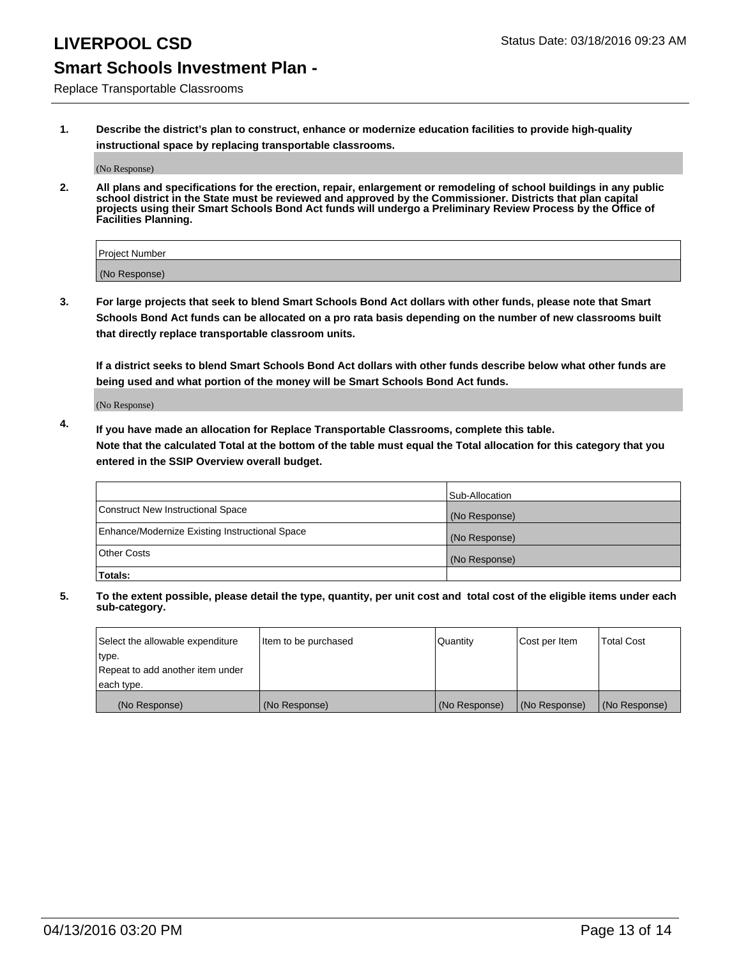Replace Transportable Classrooms

**1. Describe the district's plan to construct, enhance or modernize education facilities to provide high-quality instructional space by replacing transportable classrooms.**

(No Response)

**2. All plans and specifications for the erection, repair, enlargement or remodeling of school buildings in any public school district in the State must be reviewed and approved by the Commissioner. Districts that plan capital projects using their Smart Schools Bond Act funds will undergo a Preliminary Review Process by the Office of Facilities Planning.**

| Project Number |  |
|----------------|--|
| (No Response)  |  |

**3. For large projects that seek to blend Smart Schools Bond Act dollars with other funds, please note that Smart Schools Bond Act funds can be allocated on a pro rata basis depending on the number of new classrooms built that directly replace transportable classroom units.**

**If a district seeks to blend Smart Schools Bond Act dollars with other funds describe below what other funds are being used and what portion of the money will be Smart Schools Bond Act funds.**

(No Response)

**4. If you have made an allocation for Replace Transportable Classrooms, complete this table. Note that the calculated Total at the bottom of the table must equal the Total allocation for this category that you entered in the SSIP Overview overall budget.**

|                                                | Sub-Allocation |
|------------------------------------------------|----------------|
| Construct New Instructional Space              | (No Response)  |
| Enhance/Modernize Existing Instructional Space | (No Response)  |
| <b>Other Costs</b>                             | (No Response)  |
| Totals:                                        |                |

| Select the allowable expenditure | Item to be purchased | <b>Quantity</b> | Cost per Item | <b>Total Cost</b> |
|----------------------------------|----------------------|-----------------|---------------|-------------------|
| type.                            |                      |                 |               |                   |
| Repeat to add another item under |                      |                 |               |                   |
| each type.                       |                      |                 |               |                   |
| (No Response)                    | (No Response)        | (No Response)   | (No Response) | (No Response)     |